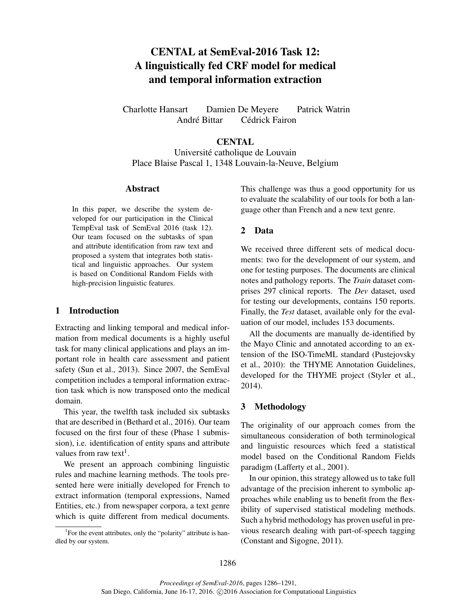# CENTAL at SemEval-2016 Task 12: A linguistically fed CRF model for medical and temporal information extraction

Charlotte Hansart Damien De Meyere Patrick Watrin André Bittar Cédrick Fairon

# **CENTAL**

Université catholique de Louvain Place Blaise Pascal 1, 1348 Louvain-la-Neuve, Belgium

#### Abstract

In this paper, we describe the system developed for our participation in the Clinical TempEval task of SemEval 2016 (task 12). Our team focused on the subtasks of span and attribute identification from raw text and proposed a system that integrates both statistical and linguistic approaches. Our system is based on Conditional Random Fields with high-precision linguistic features.

## 1 Introduction

Extracting and linking temporal and medical information from medical documents is a highly useful task for many clinical applications and plays an important role in health care assessment and patient safety (Sun et al., 2013). Since 2007, the SemEval competition includes a temporal information extraction task which is now transposed onto the medical domain.

This year, the twelfth task included six subtasks that are described in (Bethard et al., 2016). Our team focused on the first four of these (Phase 1 submission), i.e. identification of entity spans and attribute values from raw text<sup>1</sup>.

We present an approach combining linguistic rules and machine learning methods. The tools presented here were initially developed for French to extract information (temporal expressions, Named Entities, etc.) from newspaper corpora, a text genre which is quite different from medical documents.

This challenge was thus a good opportunity for us to evaluate the scalability of our tools for both a language other than French and a new text genre.

## 2 Data

We received three different sets of medical documents: two for the development of our system, and one for testing purposes. The documents are clinical notes and pathology reports. The *Train* dataset comprises 297 clinical reports. The *Dev* dataset, used for testing our developments, contains 150 reports. Finally, the *Test* dataset, available only for the evaluation of our model, includes 153 documents.

All the documents are manually de-identified by the Mayo Clinic and annotated according to an extension of the ISO-TimeML standard (Pustejovsky et al., 2010): the THYME Annotation Guidelines, developed for the THYME project (Styler et al., 2014).

## 3 Methodology

The originality of our approach comes from the simultaneous consideration of both terminological and linguistic resources which feed a statistical model based on the Conditional Random Fields paradigm (Lafferty et al., 2001).

In our opinion, this strategy allowed us to take full advantage of the precision inherent to symbolic approaches while enabling us to benefit from the flexibility of supervised statistical modeling methods. Such a hybrid methodology has proven useful in previous research dealing with part-of-speech tagging (Constant and Sigogne, 2011).

<sup>&</sup>lt;sup>1</sup> For the event attributes, only the "polarity" attribute is handled by our system.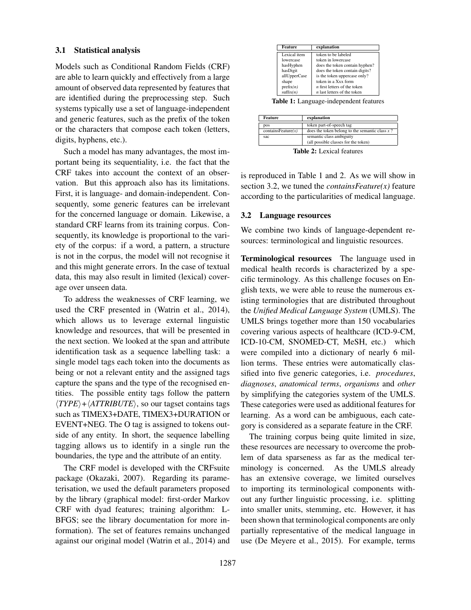#### 3.1 Statistical analysis

Models such as Conditional Random Fields (CRF) are able to learn quickly and effectively from a large amount of observed data represented by features that are identified during the preprocessing step. Such systems typically use a set of language-independent and generic features, such as the prefix of the token or the characters that compose each token (letters, digits, hyphens, etc.).

Such a model has many advantages, the most important being its sequentiality, i.e. the fact that the CRF takes into account the context of an observation. But this approach also has its limitations. First, it is language- and domain-independent. Consequently, some generic features can be irrelevant for the concerned language or domain. Likewise, a standard CRF learns from its training corpus. Consequently, its knowledge is proportional to the variety of the corpus: if a word, a pattern, a structure is not in the corpus, the model will not recognise it and this might generate errors. In the case of textual data, this may also result in limited (lexical) coverage over unseen data.

To address the weaknesses of CRF learning, we used the CRF presented in (Watrin et al., 2014), which allows us to leverage external linguistic knowledge and resources, that will be presented in the next section. We looked at the span and attribute identification task as a sequence labelling task: a single model tags each token into the documents as being or not a relevant entity and the assigned tags capture the spans and the type of the recognised entities. The possible entity tags follow the pattern  $\langle TYPE \rangle + \langle ATTRIBUTE \rangle$ , so our tagset contains tags such as TIMEX3+DATE, TIMEX3+DURATION or EVENT+NEG. The O tag is assigned to tokens outside of any entity. In short, the sequence labelling tagging allows us to identify in a single run the boundaries, the type and the attribute of an entity.

The CRF model is developed with the CRFsuite package (Okazaki, 2007). Regarding its parameterisation, we used the default parameters proposed by the library (graphical model: first-order Markov CRF with dyad features; training algorithm: L-BFGS; see the library documentation for more information). The set of features remains unchanged against our original model (Watrin et al., 2014) and

| <b>Feature</b>     | explanation                         |
|--------------------|-------------------------------------|
| Lexical item       | token to be labeled                 |
| lowercase          | token in lowercase                  |
| hasHyphen          | does the token contain hyphen?      |
| hasDigit           | does the token contain digits?      |
| allUpperCase       | is the token uppercase only?        |
| shape              | token in a Xxx form                 |
| prefix(n)          | <i>n</i> first letters of the token |
| $\text{suffix}(n)$ | $n$ last letters of the token       |

Table 1: Language-independent features

| Feature                   | explanation                                       |
|---------------------------|---------------------------------------------------|
| <b>DOS</b>                | token part-of-speech tag                          |
| contains Feature $(x)$    | does the token belong to the semantic class $x$ ? |
| sac                       | semantic class ambiguity                          |
|                           | (all possible classes for the token)              |
| Toble 2. Lavicel footures |                                                   |

Table 2: Lexical features

is reproduced in Table 1 and 2. As we will show in section 3.2, we tuned the *containsFeature(x)* feature according to the particularities of medical language.

#### 3.2 Language resources

We combine two kinds of language-dependent resources: terminological and linguistic resources.

Terminological resources The language used in medical health records is characterized by a specific terminology. As this challenge focuses on English texts, we were able to reuse the numerous existing terminologies that are distributed throughout the *Unified Medical Language System* (UMLS). The UMLS brings together more than 150 vocabularies covering various aspects of healthcare (ICD-9-CM, ICD-10-CM, SNOMED-CT, MeSH, etc.) which were compiled into a dictionary of nearly 6 million terms. These entries were automatically classified into five generic categories, i.e. *procedures*, *diagnoses*, *anatomical terms*, *organisms* and *other* by simplifying the categories system of the UMLS. These categories were used as additional features for learning. As a word can be ambiguous, each category is considered as a separate feature in the CRF.

The training corpus being quite limited in size, these resources are necessary to overcome the problem of data sparseness as far as the medical terminology is concerned. As the UMLS already has an extensive coverage, we limited ourselves to importing its terminological components without any further linguistic processing, i.e. splitting into smaller units, stemming, etc. However, it has been shown that terminological components are only partially representative of the medical language in use (De Meyere et al., 2015). For example, terms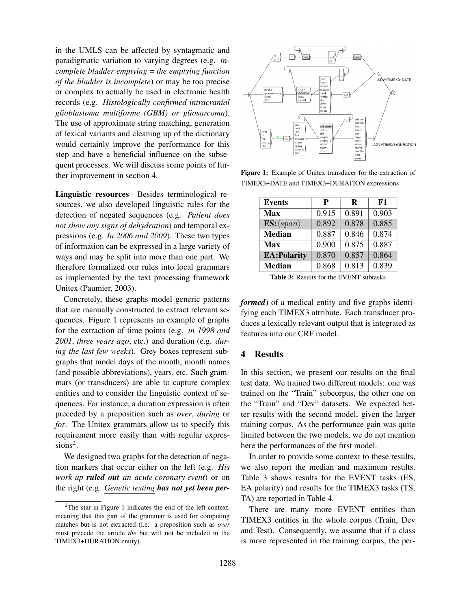in the UMLS can be affected by syntagmatic and paradigmatic variation to varying degrees (e.g. *incomplete bladder emptying* = *the emptying function of the bladder is incomplete*) or may be too precise or complex to actually be used in electronic health records (e.g. *Histologically confirmed intracranial glioblastoma multiforme (GBM) or gliosarcoma*). The use of approximate string matching, generation of lexical variants and cleaning up of the dictionary would certainly improve the performance for this step and have a beneficial influence on the subsequent processes. We will discuss some points of further improvement in section 4.

Linguistic resources Besides terminological resources, we also developed linguistic rules for the detection of negated sequences (e.g. *Patient does not show any signs of dehydration*) and temporal expressions (e.g. *In 2006 and 2009*). These two types of information can be expressed in a large variety of ways and may be split into more than one part. We therefore formalized our rules into local grammars as implemented by the text processing framework Unitex (Paumier, 2003).

Concretely, these graphs model generic patterns that are manually constructed to extract relevant sequences. Figure 1 represents an example of graphs for the extraction of time points (e.g. *in 1998 and 2001*, *three years ago*, etc.) and duration (e.g. *during the last few weeks*). Grey boxes represent subgraphs that model days of the month, month names (and possible abbreviations), years, etc. Such grammars (or transducers) are able to capture complex entities and to consider the linguistic context of sequences. For instance, a duration expression is often preceded by a preposition such as *over*, *during* or *for*. The Unitex grammars allow us to specify this requirement more easily than with regular expressions<sup>2</sup>.

We designed two graphs for the detection of negation markers that occur either on the left (e.g. *His work-up ruled out an acute coronary event*) or on the right (e.g. *Genetic testing has not yet been per-*



Figure 1: Example of Unitex transducer for the extraction of TIMEX3+DATE and TIMEX3+DURATION expressions

| <b>Events</b>             | P     | R     | F1    |
|---------------------------|-------|-------|-------|
| <b>Max</b>                | 0.915 | 0.891 | 0.903 |
| $ES:\langle span \rangle$ | 0.892 | 0.878 | 0.885 |
| <b>Median</b>             | 0.887 | 0.846 | 0.874 |
| <b>Max</b>                | 0.900 | 0.875 | 0.887 |
| <b>EA:Polarity</b>        | 0.870 | 0.857 | 0.864 |
| <b>Median</b>             | 0.868 | 0.813 | 0.839 |

Table 3: Results for the EVENT subtasks

*formed*) of a medical entity and five graphs identifying each TIMEX3 attribute. Each transducer produces a lexically relevant output that is integrated as features into our CRF model.

## 4 Results

In this section, we present our results on the final test data. We trained two different models: one was trained on the "Train" subcorpus, the other one on the "Train" and "Dev" datasets. We expected better results with the second model, given the larger training corpus. As the performance gain was quite limited between the two models, we do not mention here the performances of the first model.

In order to provide some context to these results, we also report the median and maximum results. Table 3 shows results for the EVENT tasks (ES, EA:polarity) and results for the TIMEX3 tasks (TS, TA) are reported in Table 4.

There are many more EVENT entities than TIMEX3 entities in the whole corpus (Train, Dev and Test). Consequently, we assume that if a class is more represented in the training corpus, the per-

 $2$ The star in Figure 1 indicates the end of the left context, meaning that this part of the grammar is used for computing matches but is not extracted (i.e. a preposition such as *over* must precede the article *the* but will not be included in the TIMEX3+DURATION entity).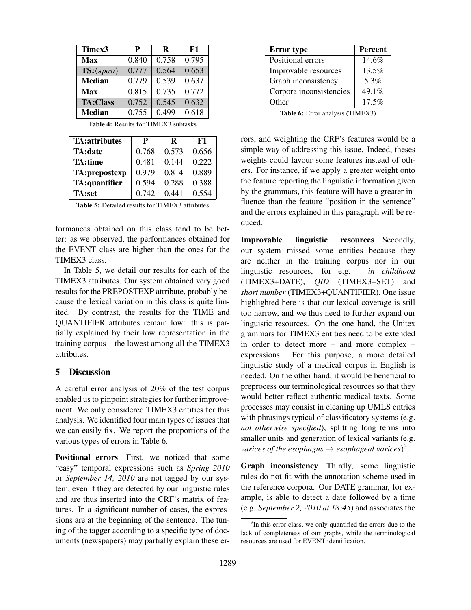| Timex3                    | P     | R     | F1    |
|---------------------------|-------|-------|-------|
| Max                       | 0.840 | 0.758 | 0.795 |
| $TS:\langle span \rangle$ | 0.777 | 0.564 | 0.653 |
| <b>Median</b>             | 0.779 | 0.539 | 0.637 |
| <b>Max</b>                | 0.815 | 0.735 | 0.772 |
| <b>TA:Class</b>           | 0.752 | 0.545 | 0.632 |
| <b>Median</b>             | 0.755 | 0.499 | 0.618 |

Table 4: Results for TIMEX3 subtasks

| <b>TA:attributes</b> | Р     | R     | F1    |
|----------------------|-------|-------|-------|
| TA:date              | 0.768 | 0.573 | 0.656 |
| <b>TA:time</b>       | 0.481 | 0.144 | 0.222 |
| TA:prepostexp        | 0.979 | 0.814 | 0.889 |
| TA:quantifier        | 0.594 | 0.288 | 0.388 |
| TA:set               | 0.742 | 0.441 | 0.554 |

Table 5: Detailed results for TIMEX3 attributes

formances obtained on this class tend to be better: as we observed, the performances obtained for the EVENT class are higher than the ones for the TIMEX3 class.

In Table 5, we detail our results for each of the TIMEX3 attributes. Our system obtained very good results for the PREPOSTEXP attribute, probably because the lexical variation in this class is quite limited. By contrast, the results for the TIME and QUANTIFIER attributes remain low: this is partially explained by their low representation in the training corpus – the lowest among all the TIMEX3 attributes.

# 5 Discussion

A careful error analysis of 20% of the test corpus enabled us to pinpoint strategies for further improvement. We only considered TIMEX3 entities for this analysis. We identified four main types of issues that we can easily fix. We report the proportions of the various types of errors in Table 6.

Positional errors First, we noticed that some "easy" temporal expressions such as *Spring 2010* or *September 14, 2010* are not tagged by our system, even if they are detected by our linguistic rules and are thus inserted into the CRF's matrix of features. In a significant number of cases, the expressions are at the beginning of the sentence. The tuning of the tagger according to a specific type of documents (newspapers) may partially explain these er-

| <b>Error</b> type       | <b>Percent</b> |
|-------------------------|----------------|
| Positional errors       | 14.6%          |
| Improvable resources    | 13.5%          |
| Graph inconsistency     | 5.3%           |
| Corpora inconsistencies | 49.1%          |
| Other                   | 17.5%          |

Table 6: Error analysis (TIMEX3)

rors, and weighting the CRF's features would be a simple way of addressing this issue. Indeed, theses weights could favour some features instead of others. For instance, if we apply a greater weight onto the feature reporting the linguistic information given by the grammars, this feature will have a greater influence than the feature "position in the sentence" and the errors explained in this paragraph will be reduced.

Improvable linguistic resources Secondly, our system missed some entities because they are neither in the training corpus nor in our linguistic resources, for e.g. *in childhood* (TIMEX3+DATE), *QID* (TIMEX3+SET) and *short number* (TIMEX3+QUANTIFIER). One issue highlighted here is that our lexical coverage is still too narrow, and we thus need to further expand our linguistic resources. On the one hand, the Unitex grammars for TIMEX3 entities need to be extended in order to detect more – and more complex – expressions. For this purpose, a more detailed linguistic study of a medical corpus in English is needed. On the other hand, it would be beneficial to preprocess our terminological resources so that they would better reflect authentic medical texts. Some processes may consist in cleaning up UMLS entries with phrasings typical of classificatory systems (e.g. *not otherwise specified*), splitting long terms into smaller units and generation of lexical variants (e.g. varices of the esophagus  $\rightarrow$  esophageal varices)<sup>3</sup>.

Graph inconsistency Thirdly, some linguistic rules do not fit with the annotation scheme used in the reference corpora. Our DATE grammar, for example, is able to detect a date followed by a time (e.g. *September 2, 2010 at 18:45*) and associates the

<sup>&</sup>lt;sup>3</sup>In this error class, we only quantified the errors due to the lack of completeness of our graphs, while the terminological resources are used for EVENT identification.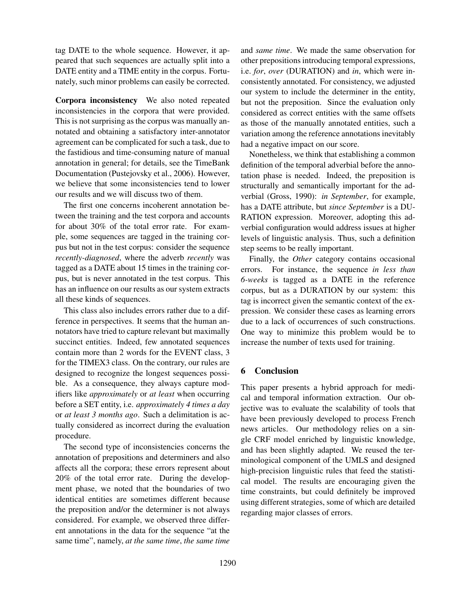tag DATE to the whole sequence. However, it appeared that such sequences are actually split into a DATE entity and a TIME entity in the corpus. Fortunately, such minor problems can easily be corrected.

Corpora inconsistency We also noted repeated inconsistencies in the corpora that were provided. This is not surprising as the corpus was manually annotated and obtaining a satisfactory inter-annotator agreement can be complicated for such a task, due to the fastidious and time-consuming nature of manual annotation in general; for details, see the TimeBank Documentation (Pustejovsky et al., 2006). However, we believe that some inconsistencies tend to lower our results and we will discuss two of them.

The first one concerns incoherent annotation between the training and the test corpora and accounts for about 30% of the total error rate. For example, some sequences are tagged in the training corpus but not in the test corpus: consider the sequence *recently-diagnosed*, where the adverb *recently* was tagged as a DATE about 15 times in the training corpus, but is never annotated in the test corpus. This has an influence on our results as our system extracts all these kinds of sequences.

This class also includes errors rather due to a difference in perspectives. It seems that the human annotators have tried to capture relevant but maximally succinct entities. Indeed, few annotated sequences contain more than 2 words for the EVENT class, 3 for the TIMEX3 class. On the contrary, our rules are designed to recognize the longest sequences possible. As a consequence, they always capture modifiers like *approximately* or *at least* when occurring before a SET entity, i.e. *approximately 4 times a day* or *at least 3 months ago*. Such a delimitation is actually considered as incorrect during the evaluation procedure.

The second type of inconsistencies concerns the annotation of prepositions and determiners and also affects all the corpora; these errors represent about 20% of the total error rate. During the development phase, we noted that the boundaries of two identical entities are sometimes different because the preposition and/or the determiner is not always considered. For example, we observed three different annotations in the data for the sequence "at the same time", namely, *at the same time*, *the same time* and *same time*. We made the same observation for other prepositions introducing temporal expressions, i.e. *for*, *over* (DURATION) and *in*, which were inconsistently annotated. For consistency, we adjusted our system to include the determiner in the entity, but not the preposition. Since the evaluation only considered as correct entities with the same offsets as those of the manually annotated entities, such a variation among the reference annotations inevitably had a negative impact on our score.

Nonetheless, we think that establishing a common definition of the temporal adverbial before the annotation phase is needed. Indeed, the preposition is structurally and semantically important for the adverbial (Gross, 1990): *in September*, for example, has a DATE attribute, but *since September* is a DU-RATION expression. Moreover, adopting this adverbial configuration would address issues at higher levels of linguistic analysis. Thus, such a definition step seems to be really important.

Finally, the *Other* category contains occasional errors. For instance, the sequence *in less than 6-weeks* is tagged as a DATE in the reference corpus, but as a DURATION by our system: this tag is incorrect given the semantic context of the expression. We consider these cases as learning errors due to a lack of occurrences of such constructions. One way to minimize this problem would be to increase the number of texts used for training.

## 6 Conclusion

This paper presents a hybrid approach for medical and temporal information extraction. Our objective was to evaluate the scalability of tools that have been previously developed to process French news articles. Our methodology relies on a single CRF model enriched by linguistic knowledge, and has been slightly adapted. We reused the terminological component of the UMLS and designed high-precision linguistic rules that feed the statistical model. The results are encouraging given the time constraints, but could definitely be improved using different strategies, some of which are detailed regarding major classes of errors.